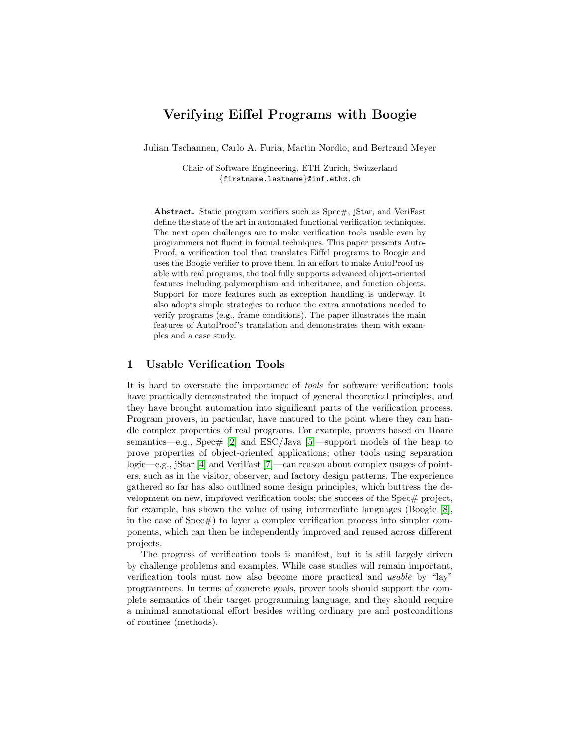# Verifying Eiffel Programs with Boogie

Julian Tschannen, Carlo A. Furia, Martin Nordio, and Bertrand Meyer

Chair of Software Engineering, ETH Zurich, Switzerland {firstname.lastname}@inf.ethz.ch

Abstract. Static program verifiers such as Spec#, jStar, and VeriFast define the state of the art in automated functional verification techniques. The next open challenges are to make verification tools usable even by programmers not fluent in formal techniques. This paper presents Auto-Proof, a verification tool that translates Eiffel programs to Boogie and uses the Boogie verifier to prove them. In an effort to make AutoProof usable with real programs, the tool fully supports advanced object-oriented features including polymorphism and inheritance, and function objects. Support for more features such as exception handling is underway. It also adopts simple strategies to reduce the extra annotations needed to verify programs (e.g., frame conditions). The paper illustrates the main features of AutoProof's translation and demonstrates them with examples and a case study.

### 1 Usable Verification Tools

It is hard to overstate the importance of tools for software verification: tools have practically demonstrated the impact of general theoretical principles, and they have brought automation into significant parts of the verification process. Program provers, in particular, have matured to the point where they can handle complex properties of real programs. For example, provers based on Hoare semantics—e.g., Spec# [\[2\]](#page-11-0) and ESC/Java [\[5\]](#page-11-1)—support models of the heap to prove properties of object-oriented applications; other tools using separation logic—e.g., jStar [\[4\]](#page-11-2) and VeriFast [\[7\]](#page-11-3)—can reason about complex usages of pointers, such as in the visitor, observer, and factory design patterns. The experience gathered so far has also outlined some design principles, which buttress the development on new, improved verification tools; the success of the Spec# project, for example, has shown the value of using intermediate languages (Boogie [\[8\]](#page-11-4), in the case of  $Spec\#$ ) to layer a complex verification process into simpler components, which can then be independently improved and reused across different projects.

The progress of verification tools is manifest, but it is still largely driven by challenge problems and examples. While case studies will remain important, verification tools must now also become more practical and usable by "lay" programmers. In terms of concrete goals, prover tools should support the complete semantics of their target programming language, and they should require a minimal annotational effort besides writing ordinary pre and postconditions of routines (methods).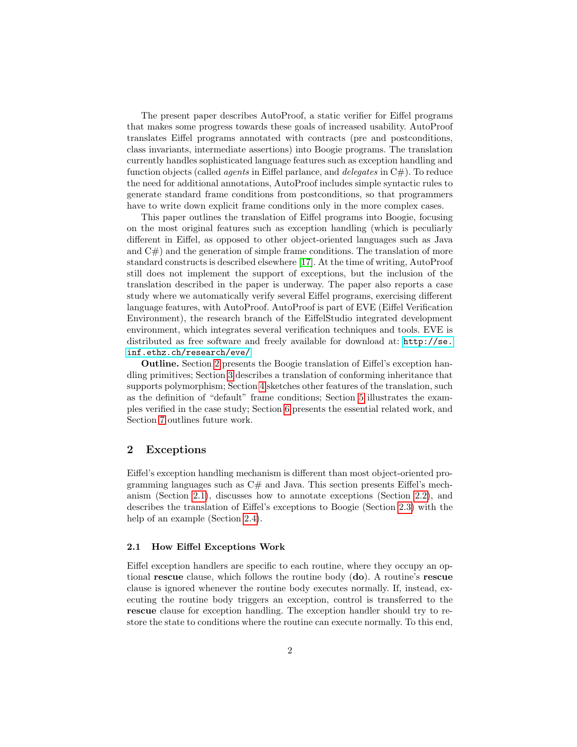The present paper describes AutoProof, a static verifier for Eiffel programs that makes some progress towards these goals of increased usability. AutoProof translates Eiffel programs annotated with contracts (pre and postconditions, class invariants, intermediate assertions) into Boogie programs. The translation currently handles sophisticated language features such as exception handling and function objects (called *agents* in Eiffel parlance, and *delegates* in  $C#$ ). To reduce the need for additional annotations, AutoProof includes simple syntactic rules to generate standard frame conditions from postconditions, so that programmers have to write down explicit frame conditions only in the more complex cases.

This paper outlines the translation of Eiffel programs into Boogie, focusing on the most original features such as exception handling (which is peculiarly different in Eiffel, as opposed to other object-oriented languages such as Java and  $C#$ ) and the generation of simple frame conditions. The translation of more standard constructs is described elsewhere [\[17\]](#page-11-5). At the time of writing, AutoProof still does not implement the support of exceptions, but the inclusion of the translation described in the paper is underway. The paper also reports a case study where we automatically verify several Eiffel programs, exercising different language features, with AutoProof. AutoProof is part of EVE (Eiffel Verification Environment), the research branch of the EiffelStudio integrated development environment, which integrates several verification techniques and tools. EVE is distributed as free software and freely available for download at: [http://se.](http://se.inf.ethz.ch/research/eve/) [inf.ethz.ch/research/eve/](http://se.inf.ethz.ch/research/eve/)

Outline. Section [2](#page-1-0) presents the Boogie translation of Eiffel's exception handling primitives; Section [3](#page-5-0) describes a translation of conforming inheritance that supports polymorphism; Section [4](#page-8-0) sketches other features of the translation, such as the definition of "default" frame conditions; Section [5](#page-9-0) illustrates the examples verified in the case study; Section [6](#page-9-1) presents the essential related work, and Section [7](#page-10-0) outlines future work.

### <span id="page-1-0"></span>2 Exceptions

Eiffel's exception handling mechanism is different than most object-oriented programming languages such as  $C\#$  and Java. This section presents Eiffel's mechanism (Section [2.1\)](#page-1-1), discusses how to annotate exceptions (Section [2.2\)](#page-2-0), and describes the translation of Eiffel's exceptions to Boogie (Section [2.3\)](#page-3-0) with the help of an example (Section [2.4\)](#page-3-1).

#### <span id="page-1-1"></span>2.1 How Eiffel Exceptions Work

Eiffel exception handlers are specific to each routine, where they occupy an optional rescue clause, which follows the routine body (do). A routine's rescue clause is ignored whenever the routine body executes normally. If, instead, executing the routine body triggers an exception, control is transferred to the rescue clause for exception handling. The exception handler should try to restore the state to conditions where the routine can execute normally. To this end,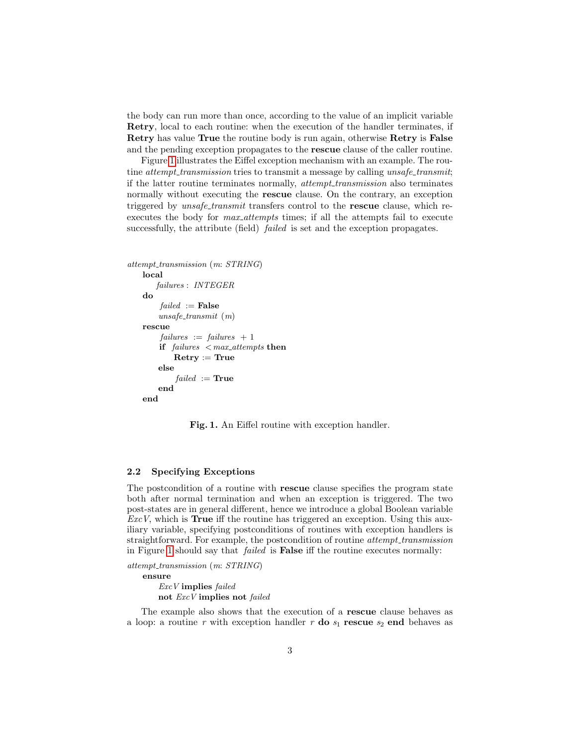the body can run more than once, according to the value of an implicit variable Retry, local to each routine: when the execution of the handler terminates, if Retry has value True the routine body is run again, otherwise Retry is False and the pending exception propagates to the rescue clause of the caller routine.

Figure [1](#page-2-1) illustrates the Eiffel exception mechanism with an example. The routine *attempt\_transmission* tries to transmit a message by calling unsafe\_transmit; if the latter routine terminates normally, *attempt\_transmission* also terminates normally without executing the rescue clause. On the contrary, an exception triggered by *unsafe\_transmit* transfers control to the **rescue** clause, which reexecutes the body for *max\_attempts* times; if all the attempts fail to execute successfully, the attribute (field) *failed* is set and the exception propagates.

```
attempt_transmission (m: STRING)
   local
       failures : INTEGER
   do
        failed :=False
       unsafe\_transmit (m)
   rescue
        failures := failures + 1if failures < max attempts then
           Retry := Trueelse
           failed := Trueend
   end
```
<span id="page-2-1"></span>Fig. 1. An Eiffel routine with exception handler.

#### <span id="page-2-0"></span>2.2 Specifying Exceptions

The postcondition of a routine with rescue clause specifies the program state both after normal termination and when an exception is triggered. The two post-states are in general different, hence we introduce a global Boolean variable  $ExcV$ , which is **True** iff the routine has triggered an exception. Using this auxiliary variable, specifying postconditions of routines with exception handlers is straightforward. For example, the postcondition of routine *attempt\_transmission* in Figure [1](#page-2-1) should say that failed is False iff the routine executes normally:

attempt\_transmission (m: STRING)

ensure ExcV implies failed not ExcV implies not failed

The example also shows that the execution of a rescue clause behaves as a loop: a routine r with exception handler r do  $s_1$  rescue  $s_2$  end behaves as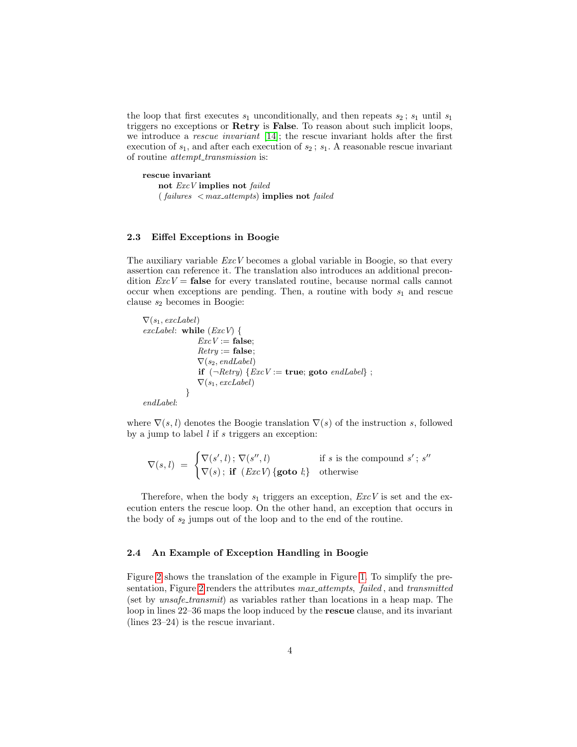the loop that first executes  $s_1$  unconditionally, and then repeats  $s_2$ ;  $s_1$  until  $s_1$ triggers no exceptions or Retry is False. To reason about such implicit loops, we introduce a rescue invariant [\[14\]](#page-11-6); the rescue invariant holds after the first execution of  $s_1$ , and after each execution of  $s_2$ ;  $s_1$ . A reasonable rescue invariant of routine *attempt\_transmission* is:

rescue invariant not ExcV implies not failed  $(failing < max_{attempts})$  implies not failed

#### <span id="page-3-0"></span>2.3 Eiffel Exceptions in Boogie

The auxiliary variable  $ExcV$  becomes a global variable in Boogie, so that every assertion can reference it. The translation also introduces an additional precondition  $ExcV =$  false for every translated routine, because normal calls cannot occur when exceptions are pending. Then, a routine with body  $s_1$  and rescue clause  $s_2$  becomes in Boogie:

 $\nabla(s_1, \text{excLabel})$ excLabel: while  $(ExcV)$  {  $ExcV :=$  false;  $Retru := \mathbf{false}$ ;  $\nabla(s_2, \text{endLabel})$ if  $(\neg Retry) \{ExcV := \textbf{true}; \textbf{goto} \text{ } endLabel\}$ ;  $\nabla(s_1, \text{excLabel})$ } endLabel:

where  $\nabla(s, l)$  denotes the Boogie translation  $\nabla(s)$  of the instruction s, followed by a jump to label  $l$  if  $s$  triggers an exception:

 $\nabla(s,l) = \begin{cases} \nabla(s',l) \, ; \, \nabla(s'',l) & \text{if } s \text{ is the compound } s' \, ; \, s'' \n\end{cases}$  $\nabla(s)$ ; if  $(ExcV)$  {goto *l*;} otherwise

Therefore, when the body  $s_1$  triggers an exception,  $ExcV$  is set and the execution enters the rescue loop. On the other hand, an exception that occurs in the body of  $s_2$  jumps out of the loop and to the end of the routine.

#### <span id="page-3-1"></span>2.4 An Example of Exception Handling in Boogie

Figure [2](#page-4-0) shows the translation of the example in Figure [1.](#page-2-1) To simplify the pre-sentation, Figure [2](#page-4-0) renders the attributes  $max\_attemps, failed, and transmitted$ (set by unsafe transmit) as variables rather than locations in a heap map. The loop in lines 22–36 maps the loop induced by the rescue clause, and its invariant (lines 23–24) is the rescue invariant.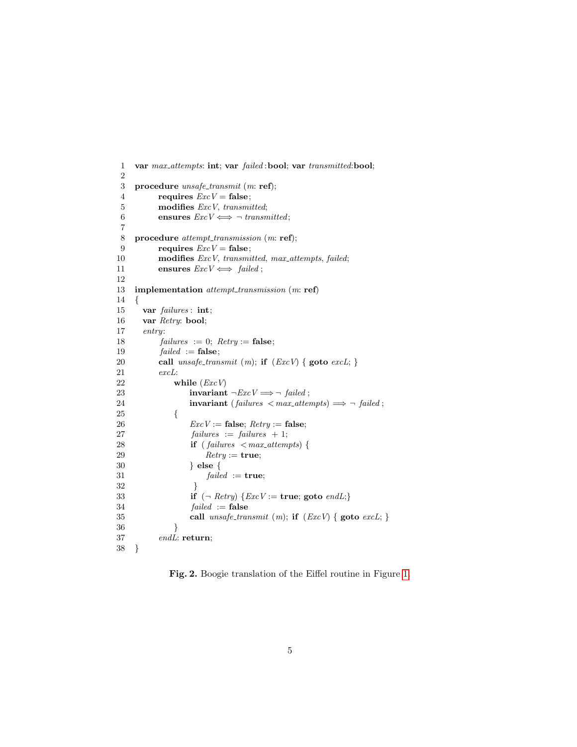```
1 var max attempts: int; var failed :bool; var transmitted:bool;
 2
 3 procedure unsafe\_transmit (m: ref);
4 requires ExcV = false;5 modifies ExcV, transmitted;
 6 ensures ExcV \Longleftrightarrow \neg transmitted;
 7
 8 procedure attempt_transmission (m: ref);
9 requires ExcV = false;10 modifies ExcV, transmitted, max_attempts, failed;
11 ensures ExcV \Longleftrightarrow failed;12
13 implementation attempt_transmission (m: ref)
14 {
15 var failures : int;
16 var Retry: bool;
17 entry:
18 failures := 0; Retry := false;19 \text{failed} := \text{false};20 call unsafe\_transmit(m); if (ExcV) \{ \text{goto } excL; \}<br>21 excL:
         excL:22 while (ExcV)
23 invariant \neg ExcV \Longrightarrow \neg \text{ failed};24 invariant (failures \langle \textit{max\_attemps} \rangle \Longrightarrow \neg \textit{failed};
25 {
26 ExcV := false; Retry := false;
27 failures := failures + 1;
28 if (failures < max\_attemps) {
29 ૃRetry := true;30 } else {
31 failed := true;32 }
33 if (\neg \text{Retry}) \{ExcV := \text{true}; \text{goto } \text{endL};\}34 failed := false
35 call unsafe\_transmit(m); if (ExcV) { goto excL; }
36 }
37 endL: return;
38 }
```
<span id="page-4-0"></span>Fig. 2. Boogie translation of the Eiffel routine in Figure [1.](#page-2-1)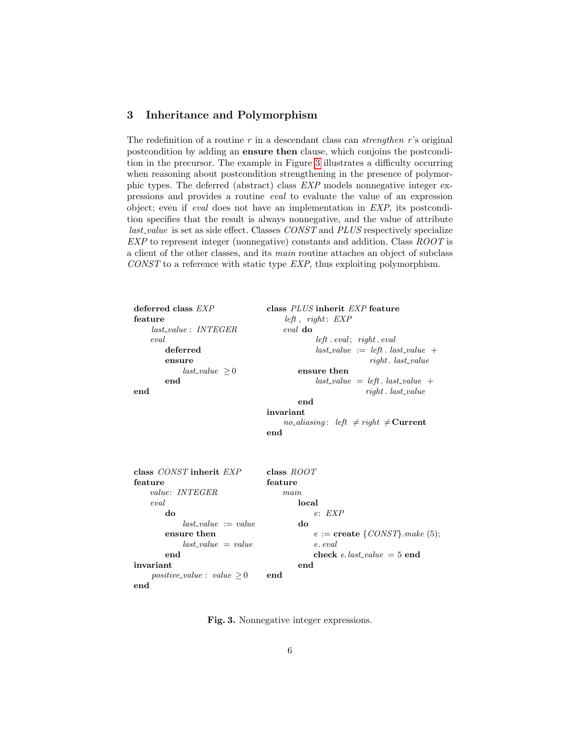## <span id="page-5-0"></span>3 Inheritance and Polymorphism

The redefinition of a routine  $r$  in a descendant class can *strengthen*  $r$ 's original postcondition by adding an ensure then clause, which conjoins the postcondition in the precursor. The example in Figure [3](#page-5-1) illustrates a difficulty occurring when reasoning about postcondition strengthening in the presence of polymorphic types. The deferred (abstract) class EXP models nonnegative integer expressions and provides a routine eval to evaluate the value of an expression object; even if eval does not have an implementation in EXP, its postcondition specifies that the result is always nonnegative, and the value of attribute last value is set as side effect. Classes CONST and PLUS respectively specialize EXP to represent integer (nonnegative) constants and addition. Class ROOT is a client of the other classes, and its main routine attaches an object of subclass CONST to a reference with static type EXP, thus exploiting polymorphism.

| deferred class $EXP$         | class PLUS inherit EXP feature                                             |  |  |  |
|------------------------------|----------------------------------------------------------------------------|--|--|--|
| feature                      | left, right: EXP                                                           |  |  |  |
| $last_value: INTEGR$         | eval do                                                                    |  |  |  |
| eval                         | left. event; right. eval                                                   |  |  |  |
| deferred                     | $last_value := left. last_value +$                                         |  |  |  |
| ensure                       | right. last_value                                                          |  |  |  |
| $last_value > 0$             | ensure then                                                                |  |  |  |
| end                          | $last\_value = left$ . $last\_value$ +                                     |  |  |  |
| end                          | $right.$ last_value                                                        |  |  |  |
|                              | end                                                                        |  |  |  |
|                              | invariant                                                                  |  |  |  |
|                              | <i>no_aliasing</i> : <i>left</i> $\neq$ <i>right</i> $\neq$ <b>Current</b> |  |  |  |
|                              | end                                                                        |  |  |  |
|                              |                                                                            |  |  |  |
|                              |                                                                            |  |  |  |
|                              |                                                                            |  |  |  |
| class CONST inherit EXP      | class $ROOT$                                                               |  |  |  |
| feature                      | feature                                                                    |  |  |  |
| <i>value: INTEGER</i>        | main                                                                       |  |  |  |
| eval                         | local                                                                      |  |  |  |
| do                           | e: EXP                                                                     |  |  |  |
| $last\_value := value$       | do                                                                         |  |  |  |
| ensure then                  | $e := \textbf{create} \, \{CONST\} \cdot make \, (5);$                     |  |  |  |
| $last_value = value$         | e. eval                                                                    |  |  |  |
| end                          | check e.last_value = $5$ end                                               |  |  |  |
| invariant                    | end                                                                        |  |  |  |
| $positive\_value: value > 0$ | end                                                                        |  |  |  |
| end                          |                                                                            |  |  |  |

<span id="page-5-1"></span>Fig. 3. Nonnegative integer expressions.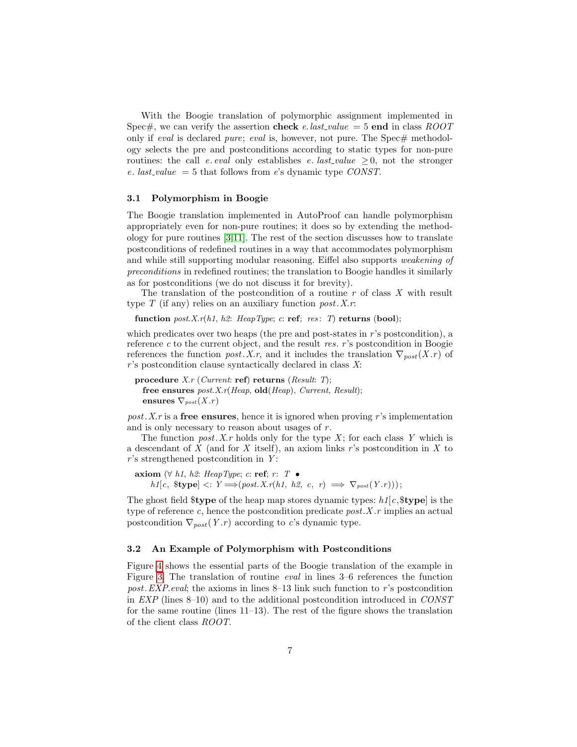With the Boogie translation of polymorphic assignment implemented in Spec#, we can verify the assertion check e.last\_value = 5 end in class ROOT only if *eval* is declared *pure*; *eval* is, however, not pure. The Spec# methodology selects the pre and postconditions according to static types for non-pure routines: the call e. eval only establishes e. last\_value  $\geq 0$ , not the stronger e. last\_value = 5 that follows from e's dynamic type  $CONST$ .

#### 3.1 Polymorphism in Boogie

The Boogie translation implemented in AutoProof can handle polymorphism appropriately even for non-pure routines; it does so by extending the methodology for pure routines [\[3,](#page-11-7)[11\]](#page-11-8). The rest of the section discusses how to translate postconditions of redefined routines in a way that accommodates polymorphism and while still supporting modular reasoning. Eiffel also supports weakening of preconditions in redefined routines; the translation to Boogie handles it similarly as for postconditions (we do not discuss it for brevity).

The translation of the postcondition of a routine  $r$  of class  $X$  with result type  $T$  (if any) relies on an auxiliary function post. X.r.

function  $post.X.r(h1, h2: \text{HeapType}; c: \text{ref}; \text{res}: T)$  returns (bool);

which predicates over two heaps (the pre and post-states in  $r$ 's postcondition), a reference  $c$  to the current object, and the result res. r's postcondition in Boogie references the function post. X.r, and it includes the translation  $\nabla_{post}(X,r)$  of  $r$ 's postcondition clause syntactically declared in class  $X$ :

procedure  $X.r$  (Current: ref) returns (Result: T); free ensures  $post.X.r(Heap, old(Heap), Current, Result);$ ensures  $\nabla_{post}(X.r)$ 

post. X, r is a free ensures, hence it is ignored when proving r's implementation and is only necessary to reason about usages of  $r$ .

The function post. X, r holds only for the type X; for each class Y which is a descendant of  $X$  (and for  $X$  itself), an axiom links r's postcondition in  $X$  to  $r$ 's strengthened postcondition in Y:

axiom (∀ h1, h2: HeapType; c: ref; r: T •  $h1[c, \text{ \&type}] \leq: Y \Longrightarrow (post. X.r(h1, h2, c, r) \implies \nabla_{post}(Y.r)));$ 

The ghost field  $$type$  of the heap map stores dynamic types:  $h1[c,$  $$type]$  is the type of reference c, hence the postcondition predicate  $post.X.r$  implies an actual postcondition  $\nabla_{post}(Y.r)$  according to c's dynamic type.

### 3.2 An Example of Polymorphism with Postconditions

Figure [4](#page-7-0) shows the essential parts of the Boogie translation of the example in Figure [3.](#page-5-1) The translation of routine eval in lines 3–6 references the function post. EXP.eval; the axioms in lines  $8-13$  link such function to r's postcondition in EXP (lines 8–10) and to the additional postcondition introduced in CONST for the same routine (lines 11–13). The rest of the figure shows the translation of the client class ROOT.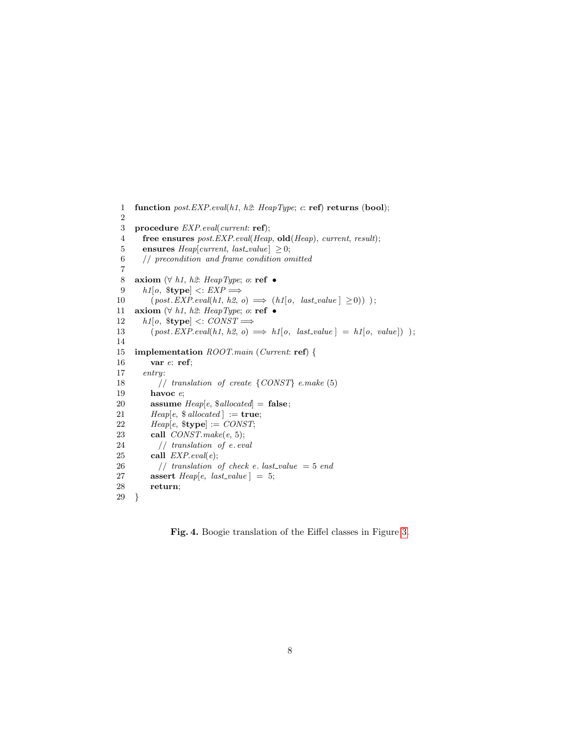```
1 function post. EXP. eval(h1, h2: HeapType; c: ref) returns (bool);
 2
3 procedure EXP.eval(current: ref);
 4 free ensures post. EXP. eval(Heap, old(Heap), current, result);
 5 ensures Heap[current, last_value] \geq 0;6 // precondition and frame condition omitted
 7
8 axiom (\forall h1, h2: \text{HeapType}; o: \text{ref } \bullet)<br>9 h1|o, \text{style} <: EXP \impliesh1[o, \text{ \$type}] \leq EXP \Longrightarrow10 (post. EXP. eval(h1, h2, o) \implies (h1[o, last_value] \ge 0));
11 axiom (\forall h1, h2: HeapType; o: ref •
12 h1[o, \text{ \$type}] \leq: \text{CONST} \Longrightarrow13 (post. EXP. eval(h1, h2, o) \implies h1[o, last_value] = h1[o, value]) );
14
15 implementation ROOT.main (Current: ref) {
16 var e: ref;
17 entry:
18 // translation of create \{CONST\} e.make (5)19 havoc e;
20 assume Heap[e, $allocated] = false;21 Heap[e, $ allocated ] := true;22 Heap[e, \$type]:= \text{CONST};23 call CONST.make(e, 5);
24 // translation of e. eval25 call EXP. eval(e);
26 // translation of check e. last_value = 5 end
27 assert Heap[e, last_value] = 5;28 return;
29 }
```
<span id="page-7-0"></span>Fig. 4. Boogie translation of the Eiffel classes in Figure [3.](#page-5-1)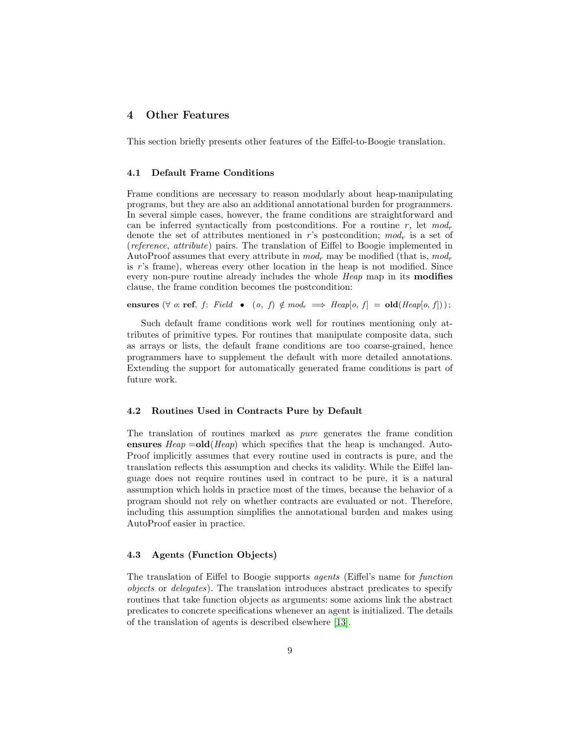### <span id="page-8-0"></span>4 Other Features

This section briefly presents other features of the Eiffel-to-Boogie translation.

#### 4.1 Default Frame Conditions

Frame conditions are necessary to reason modularly about heap-manipulating programs, but they are also an additional annotational burden for programmers. In several simple cases, however, the frame conditions are straightforward and can be inferred syntactically from postconditions. For a routine  $r$ , let  $mod_r$ denote the set of attributes mentioned in r's postcondition;  $mod_r$  is a set of (reference, attribute) pairs. The translation of Eiffel to Boogie implemented in AutoProof assumes that every attribute in  $mod_r$  may be modified (that is,  $mod_r$ ) is  $r$ 's frame), whereas every other location in the heap is not modified. Since every non-pure routine already includes the whole *Heap* map in its **modifies** clause, the frame condition becomes the postcondition:

ensures  $(\forall \text{ o: ref}, f: \text{Field} \bullet (o, f) \notin \text{mod}_r \implies \text{Heap}[o, f] = \text{old}(\text{Heap}[o, f]))$ ;

Such default frame conditions work well for routines mentioning only attributes of primitive types. For routines that manipulate composite data, such as arrays or lists, the default frame conditions are too coarse-grained, hence programmers have to supplement the default with more detailed annotations. Extending the support for automatically generated frame conditions is part of future work.

#### 4.2 Routines Used in Contracts Pure by Default

The translation of routines marked as pure generates the frame condition ensures  $Heap =old(Heap)$  which specifies that the heap is unchanged. Auto-Proof implicitly assumes that every routine used in contracts is pure, and the translation reflects this assumption and checks its validity. While the Eiffel language does not require routines used in contract to be pure, it is a natural assumption which holds in practice most of the times, because the behavior of a program should not rely on whether contracts are evaluated or not. Therefore, including this assumption simplifies the annotational burden and makes using AutoProof easier in practice.

#### 4.3 Agents (Function Objects)

The translation of Eiffel to Boogie supports agents (Eiffel's name for function objects or delegates). The translation introduces abstract predicates to specify routines that take function objects as arguments: some axioms link the abstract predicates to concrete specifications whenever an agent is initialized. The details of the translation of agents is described elsewhere [\[13\]](#page-11-9).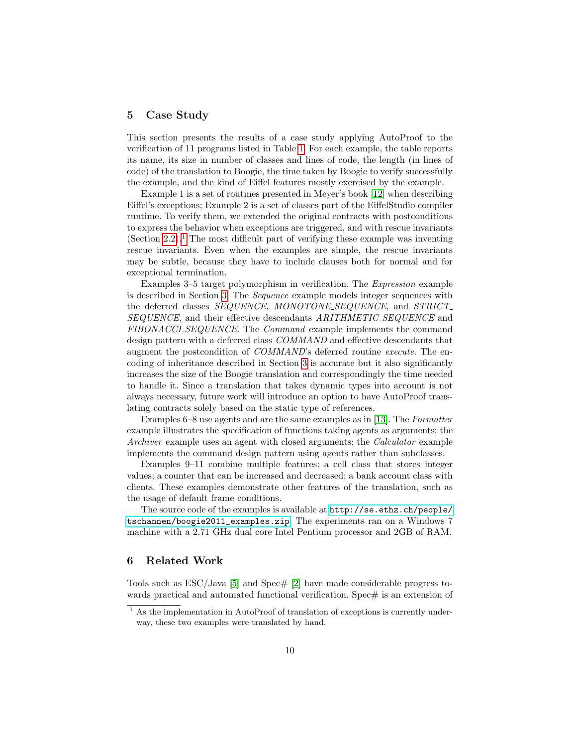### <span id="page-9-0"></span>5 Case Study

This section presents the results of a case study applying AutoProof to the verification of 11 programs listed in Table [1.](#page-10-1) For each example, the table reports its name, its size in number of classes and lines of code, the length (in lines of code) of the translation to Boogie, the time taken by Boogie to verify successfully the example, and the kind of Eiffel features mostly exercised by the example.

Example 1 is a set of routines presented in Meyer's book [\[12\]](#page-11-10) when describing Eiffel's exceptions; Example 2 is a set of classes part of the EiffelStudio compiler runtime. To verify them, we extended the original contracts with postconditions to express the behavior when exceptions are triggered, and with rescue invariants (Section [2.2\)](#page-2-0).<sup>[1](#page-9-2)</sup> The most difficult part of verifying these example was inventing rescue invariants. Even when the examples are simple, the rescue invariants may be subtle, because they have to include clauses both for normal and for exceptional termination.

Examples 3–5 target polymorphism in verification. The Expression example is described in Section [3.](#page-5-0) The Sequence example models integer sequences with the deferred classes SEQUENCE, MONOTONE\_SEQUENCE, and STRICT\_ SEQUENCE, and their effective descendants ARITHMETIC SEQUENCE and FIBONACCLSEQUENCE. The Command example implements the command design pattern with a deferred class COMMAND and effective descendants that augment the postcondition of COMMAND's deferred routine execute. The encoding of inheritance described in Section [3](#page-5-0) is accurate but it also significantly increases the size of the Boogie translation and correspondingly the time needed to handle it. Since a translation that takes dynamic types into account is not always necessary, future work will introduce an option to have AutoProof translating contracts solely based on the static type of references.

Examples 6–8 use agents and are the same examples as in [\[13\]](#page-11-9). The Formatter example illustrates the specification of functions taking agents as arguments; the Archiver example uses an agent with closed arguments; the *Calculator* example implements the command design pattern using agents rather than subclasses.

Examples 9–11 combine multiple features: a cell class that stores integer values; a counter that can be increased and decreased; a bank account class with clients. These examples demonstrate other features of the translation, such as the usage of default frame conditions.

The source code of the examples is available at [http://se.ethz.ch/people/](http://se.ethz.ch/people/tschannen/boogie2011_examples.zip) [tschannen/boogie2011\\_examples.zip](http://se.ethz.ch/people/tschannen/boogie2011_examples.zip). The experiments ran on a Windows 7 machine with a 2.71 GHz dual core Intel Pentium processor and 2GB of RAM.

### <span id="page-9-1"></span>6 Related Work

Tools such as  $ESC/Java$  [\[5\]](#page-11-1) and  $Spec \# [2]$  $Spec \# [2]$  have made considerable progress towards practical and automated functional verification. Spec $\#$  is an extension of

<span id="page-9-2"></span> $<sup>1</sup>$  As the implementation in AutoProof of translation of exceptions is currently under-</sup> way, these two examples were translated by hand.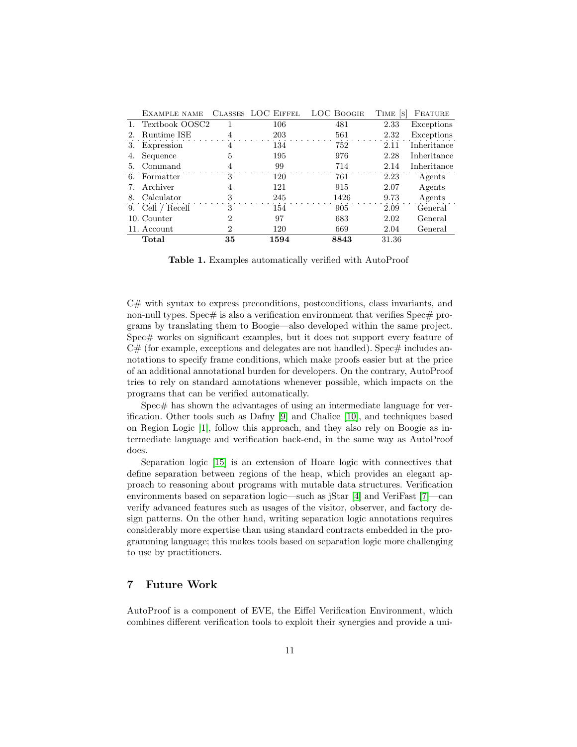|    | EXAMPLE NAME      |    | CLASSES LOC EIFFEL | <b>LOC BOOGIE</b> | TIME S | FEATURE     |
|----|-------------------|----|--------------------|-------------------|--------|-------------|
|    | 1. Textbook OOSC2 |    | 106                | 481               | 2.33   | Exceptions  |
| 2. | Runtime ISE       |    | 203                | 561               | 2.32   | Exceptions  |
| 3. | Expression        | 4  | 134                | 752               | 2.11   | Inheritance |
| 4. | Sequence          | 5  | 195                | 976               | 2.28   | Inheritance |
| 5. | Command           |    | 99                 | 714               | 2.14   | Inheritance |
| 6. | Formatter         | 3  | 120                | 761               | 2.23   | Agents      |
|    | Archiver          | 4  | 121                | 915               | 2.07   | Agents      |
| 8. | Calculator        | 3  | 245                | 1426              | 9.73   | Agents      |
|    | 9. Cell / Recell  | 3  | 154                | 905               | 2.09   | General     |
|    | 10. Counter       | 2  | 97                 | 683               | 2.02   | General     |
|    | 11. Account       | 2  | 120                | 669               | 2.04   | General     |
|    | Total             | 35 | 1594               | 8843              | 31.36  |             |

<span id="page-10-1"></span>Table 1. Examples automatically verified with AutoProof

C# with syntax to express preconditions, postconditions, class invariants, and non-null types. Spec $\#$  is also a verification environment that verifies Spec $\#$  programs by translating them to Boogie—also developed within the same project. Spec# works on significant examples, but it does not support every feature of  $C#$  (for example, exceptions and delegates are not handled). Spec $#$  includes annotations to specify frame conditions, which make proofs easier but at the price of an additional annotational burden for developers. On the contrary, AutoProof tries to rely on standard annotations whenever possible, which impacts on the programs that can be verified automatically.

Spec# has shown the advantages of using an intermediate language for verification. Other tools such as Dafny [\[9\]](#page-11-11) and Chalice [\[10\]](#page-11-12), and techniques based on Region Logic [\[1\]](#page-11-13), follow this approach, and they also rely on Boogie as intermediate language and verification back-end, in the same way as AutoProof does.

Separation logic [\[15\]](#page-11-14) is an extension of Hoare logic with connectives that define separation between regions of the heap, which provides an elegant approach to reasoning about programs with mutable data structures. Verification environments based on separation logic—such as jStar [\[4\]](#page-11-2) and VeriFast [\[7\]](#page-11-3)—can verify advanced features such as usages of the visitor, observer, and factory design patterns. On the other hand, writing separation logic annotations requires considerably more expertise than using standard contracts embedded in the programming language; this makes tools based on separation logic more challenging to use by practitioners.

### <span id="page-10-0"></span>7 Future Work

AutoProof is a component of EVE, the Eiffel Verification Environment, which combines different verification tools to exploit their synergies and provide a uni